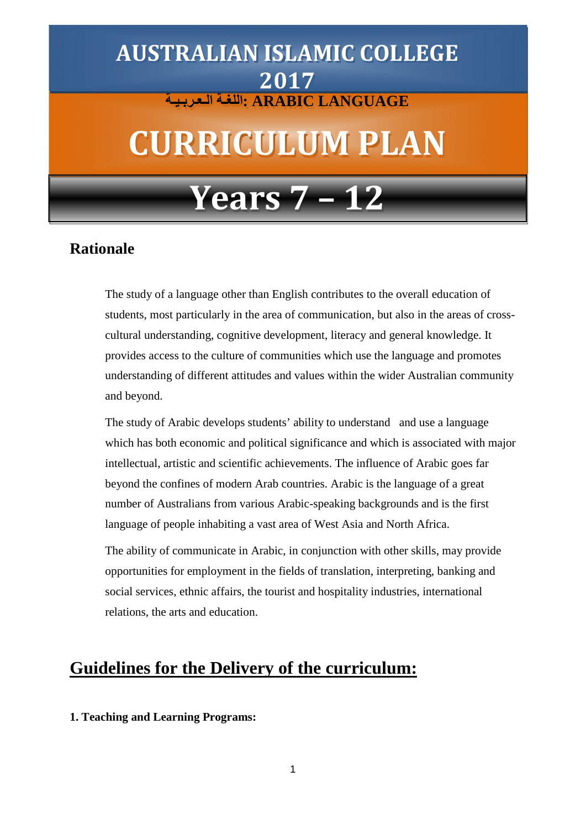# **LANGUAGE ARABIC :اللغـة الـعـربـیـة AUSTRALIAN ISLAMIC COLLEGE 2017**

# **CURRICULUM PLAN**

# **Years 7 – 12**

# **Rationale**

The study of a language other than English contributes to the overall education of students, most particularly in the area of communication, but also in the areas of crosscultural understanding, cognitive development, literacy and general knowledge. It provides access to the culture of communities which use the language and promotes understanding of different attitudes and values within the wider Australian community and beyond.

The study of Arabic develops students' ability to understand and use a language which has both economic and political significance and which is associated with major intellectual, artistic and scientific achievements. The influence of Arabic goes far beyond the confines of modern Arab countries. Arabic is the language of a great number of Australians from various Arabic-speaking backgrounds and is the first language of people inhabiting a vast area of West Asia and North Africa.

The ability of communicate in Arabic, in conjunction with other skills, may provide opportunities for employment in the fields of translation, interpreting, banking and social services, ethnic affairs, the tourist and hospitality industries, international relations, the arts and education.

# **Guidelines for the Delivery of the curriculum:**

## **1. Teaching and Learning Programs:**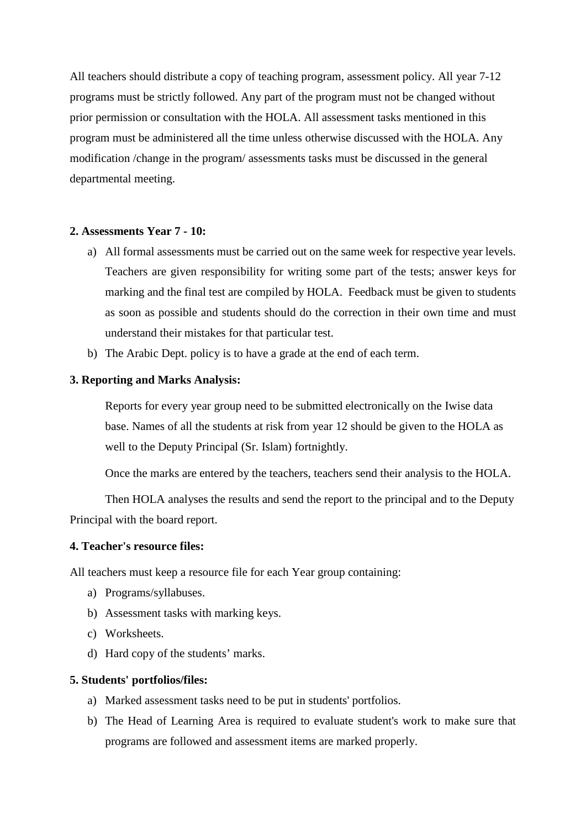All teachers should distribute a copy of teaching program, assessment policy. All year 7-12 programs must be strictly followed. Any part of the program must not be changed without prior permission or consultation with the HOLA. All assessment tasks mentioned in this program must be administered all the time unless otherwise discussed with the HOLA. Any modification /change in the program/ assessments tasks must be discussed in the general departmental meeting.

## **2. Assessments Year 7 - 10:**

- a) All formal assessments must be carried out on the same week for respective year levels. Teachers are given responsibility for writing some part of the tests; answer keys for marking and the final test are compiled by HOLA. Feedback must be given to students as soon as possible and students should do the correction in their own time and must understand their mistakes for that particular test.
- b) The Arabic Dept. policy is to have a grade at the end of each term.

### **3. Reporting and Marks Analysis:**

Reports for every year group need to be submitted electronically on the Iwise data base. Names of all the students at risk from year 12 should be given to the HOLA as well to the Deputy Principal (Sr. Islam) fortnightly.

Once the marks are entered by the teachers, teachers send their analysis to the HOLA.

Then HOLA analyses the results and send the report to the principal and to the Deputy Principal with the board report.

## **4. Teacher's resource files:**

All teachers must keep a resource file for each Year group containing:

- a) Programs/syllabuses.
- b) Assessment tasks with marking keys.
- c) Worksheets.
- d) Hard copy of the students' marks.

#### **5. Students' portfolios/files:**

- a) Marked assessment tasks need to be put in students' portfolios.
- b) The Head of Learning Area is required to evaluate student's work to make sure that programs are followed and assessment items are marked properly.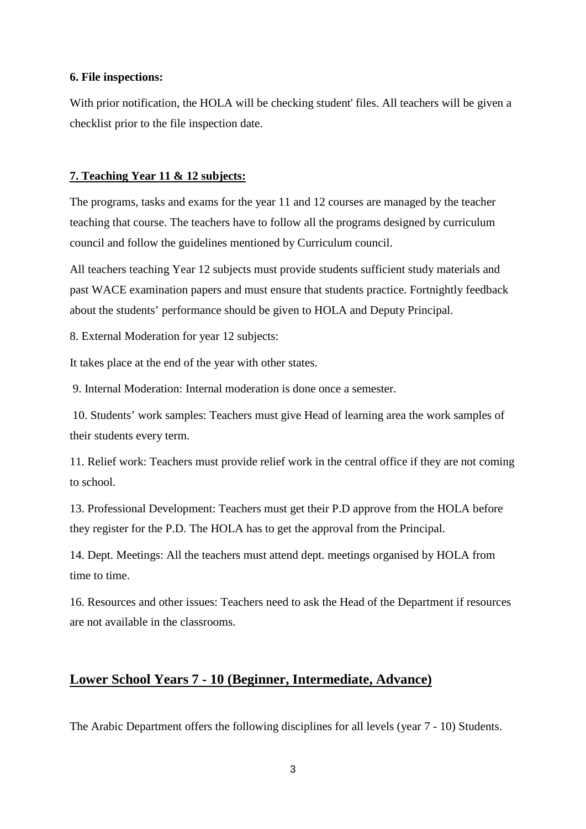#### **6. File inspections:**

With prior notification, the HOLA will be checking student' files. All teachers will be given a checklist prior to the file inspection date.

#### **7. Teaching Year 11 & 12 subjects:**

The programs, tasks and exams for the year 11 and 12 courses are managed by the teacher teaching that course. The teachers have to follow all the programs designed by curriculum council and follow the guidelines mentioned by Curriculum council.

All teachers teaching Year 12 subjects must provide students sufficient study materials and past WACE examination papers and must ensure that students practice. Fortnightly feedback about the students' performance should be given to HOLA and Deputy Principal.

8. External Moderation for year 12 subjects:

It takes place at the end of the year with other states.

9. Internal Moderation: Internal moderation is done once a semester.

10. Students' work samples: Teachers must give Head of learning area the work samples of their students every term.

11. Relief work: Teachers must provide relief work in the central office if they are not coming to school.

13. Professional Development: Teachers must get their P.D approve from the HOLA before they register for the P.D. The HOLA has to get the approval from the Principal.

14. Dept. Meetings: All the teachers must attend dept. meetings organised by HOLA from time to time.

16. Resources and other issues: Teachers need to ask the Head of the Department if resources are not available in the classrooms.

## **Lower School Years 7 - 10 (Beginner, Intermediate, Advance)**

The Arabic Department offers the following disciplines for all levels (year 7 - 10) Students.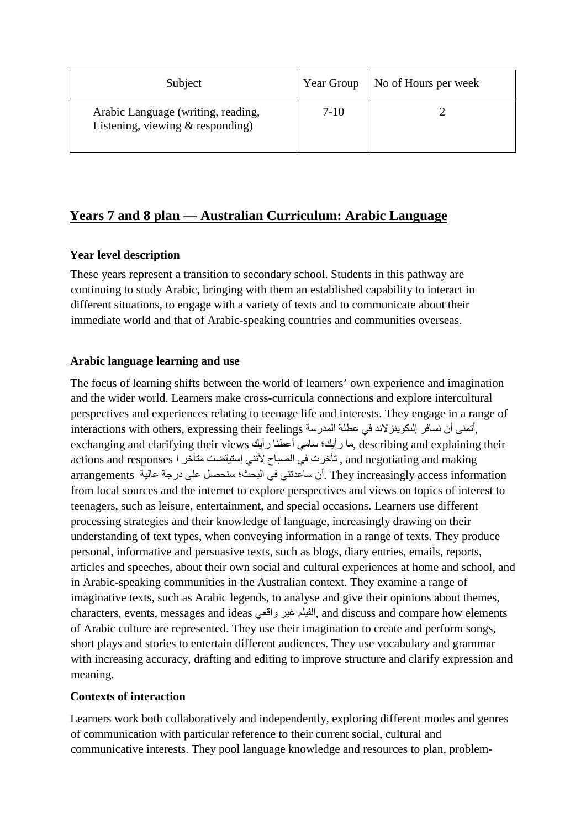| Subject                                                                  | Year Group | No of Hours per week |
|--------------------------------------------------------------------------|------------|----------------------|
| Arabic Language (writing, reading,<br>Listening, viewing $&$ responding) | $7-10$     |                      |

## **Years 7 and 8 plan — Australian Curriculum: Arabic Language**

## **Year level description**

These years represent a transition to secondary school. Students in this pathway are continuing to study Arabic, bringing with them an established capability to interact in different situations, to engage with a variety of texts and to communicate about their immediate world and that of Arabic-speaking countries and communities overseas.

## **Arabic language learning and use**

The focus of learning shifts between the world of learners' own experience and imagination and the wider world. Learners make cross-curricula connections and explore intercultural perspectives and experiences relating to teenage life and interests. They engage in a range of ,أتمنى أن نسافر إلكوينز لاند في عطلة المدرسة interactions with others, expressing their feelings exchanging and clarifying their views ما رأيك؛ سامي أعطنا رأيك وmexchanging and clarifying their actions and responses , تأخرت في الصباح لأنني إستيقضت متأخر ا actions and responses information access increasingly They .أن ساعدتني في البحث؛ سنحصل على درجة عالیة arrangements from local sources and the internet to explore perspectives and views on topics of interest to teenagers, such as leisure, entertainment, and special occasions. Learners use different processing strategies and their knowledge of language, increasingly drawing on their understanding of text types, when conveying information in a range of texts. They produce personal, informative and persuasive texts, such as blogs, diary entries, emails, reports, articles and speeches, about their own social and cultural experiences at home and school, and in Arabic-speaking communities in the Australian context. They examine a range of imaginative texts, such as Arabic legends, to analyse and give their opinions about themes, characters, events, messages and ideas واقعي غیر الفیلم, and discuss and compare how elements of Arabic culture are represented. They use their imagination to create and perform songs, short plays and stories to entertain different audiences. They use vocabulary and grammar with increasing accuracy, drafting and editing to improve structure and clarify expression and meaning.

## **Contexts of interaction**

Learners work both collaboratively and independently, exploring different modes and genres of communication with particular reference to their current social, cultural and communicative interests. They pool language knowledge and resources to plan, problem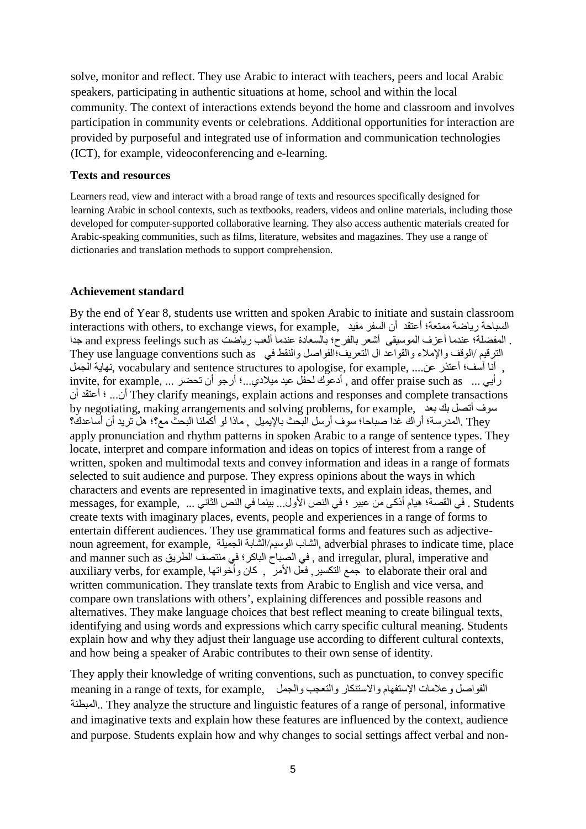solve, monitor and reflect. They use Arabic to interact with teachers, peers and local Arabic speakers, participating in authentic situations at home, school and within the local community. The context of interactions extends beyond the home and classroom and involves participation in community events or celebrations. Additional opportunities for interaction are provided by purposeful and integrated use of information and communication technologies (ICT), for example, videoconferencing and e-learning.

#### **Texts and resources**

Learners read, view and interact with a broad range of texts and resources specifically designed for learning Arabic in school contexts, such as textbooks, readers, videos and online materials, including those developed for computer-supported collaborative learning. They also access authentic materials created for Arabic-speaking communities, such as films, literature, websites and magazines. They use a range of dictionaries and translation methods to support comprehension.

### **Achievement standard**

By the end of Year 8, students use written and spoken Arabic to initiate and sustain classroom interactions with others, to exchange views, for example, مفید السفر أن أعتقد ممتعة؛ ریاضة السباحة . المفضلة؛ عندما أعزف الموسيقى أشعر بالفرح؛ بالسعادة عندما ألعب رياضت and express feelings such as جدا الترقیم /الوقف والإملاء والقواعد ال التعریف؛الفواصل والنقط في They use language conventions such as . أنا آسف؛ أعتذر عن.... .vocabulary and sentence structures to apologise, for example فهاية الجمل رأیي ... as such praise offer and , أدعوك لحفل عید میلادي...؛ أرجو أن تحضر ... ,example for ,invite أن... ؛ أعتقد أن They clarify meanings, explain actions and responses and complete transactions by negotiating, making arrangements and solving problems, for example, بعد بك أتصل سوف They .المدرسة؛ أراك غدا صباحا؛ سوف أرسل البحث بالإیمیل , ماذا لو أكملنا البحث مع؟؛ ھل ترید أن أساعدك؟ apply pronunciation and rhythm patterns in spoken Arabic to a range of sentence types. They locate, interpret and compare information and ideas on topics of interest from a range of written, spoken and multimodal texts and convey information and ideas in a range of formats selected to suit audience and purpose. They express opinions about the ways in which characters and events are represented in imaginative texts, and explain ideas, themes, and Students . في القصة؛ هيام أذكى من عبير ؛ في النص الأول... بينما في النص الثاني ... ,example و messages, for example create texts with imaginary places, events, people and experiences in a range of forms to entertain different audiences. They use grammatical forms and features such as adjectivenoun agreement, for example, الجمیلة الشابة/الوسیم الشاب, adverbial phrases to indicate time, place and manner such as الطریق منتصف في الباكر؛ الصباح في , and irregular, plural, imperative and auxiliary verbs, for example, وأخواتھا كان , الأمر فعل ,التكسیر جمع to elaborate their oral and written communication. They translate texts from Arabic to English and vice versa, and compare own translations with others', explaining differences and possible reasons and alternatives. They make language choices that best reflect meaning to create bilingual texts, identifying and using words and expressions which carry specific cultural meaning. Students explain how and why they adjust their language use according to different cultural contexts, and how being a speaker of Arabic contributes to their own sense of identity.

They apply their knowledge of writing conventions, such as punctuation, to convey specific meaning in a range of texts, for example, والتعجب والجمل والتعميم والجمل والتعبين والجمل المستنكار والتعجب و المبطنة.. They analyze the structure and linguistic features of a range of personal, informative and imaginative texts and explain how these features are influenced by the context, audience and purpose. Students explain how and why changes to social settings affect verbal and non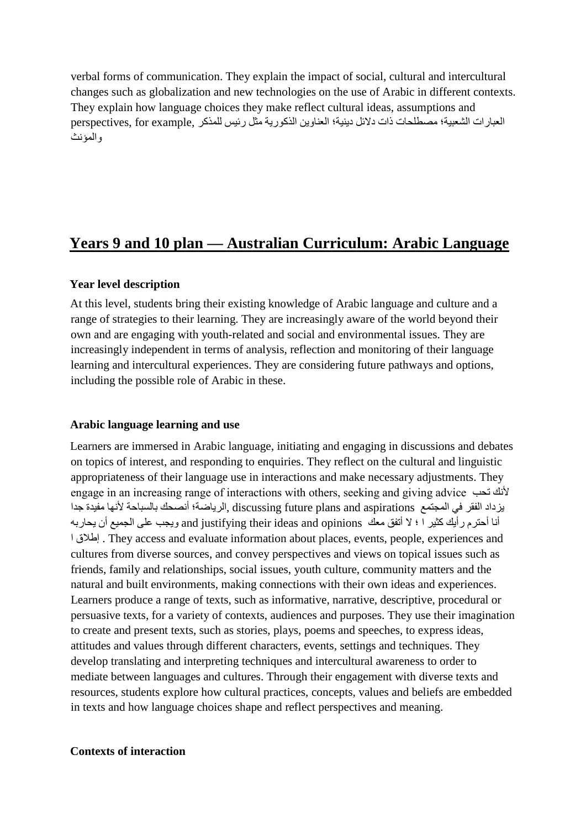verbal forms of communication. They explain the impact of social, cultural and intercultural changes such as globalization and new technologies on the use of Arabic in different contexts. They explain how language choices they make reflect cultural ideas, assumptions and العبارات الشعبیة؛ مصطلحات ذات دلائل دینیة؛ العناوین الذكوریة مثل رئیس للمذكر ,example for ,perspectives والمؤنث

# **Years 9 and 10 plan — Australian Curriculum: Arabic Language**

## **Year level description**

At this level, students bring their existing knowledge of Arabic language and culture and a range of strategies to their learning. They are increasingly aware of the world beyond their own and are engaging with youth-related and social and environmental issues. They are increasingly independent in terms of analysis, reflection and monitoring of their language learning and intercultural experiences. They are considering future pathways and options, including the possible role of Arabic in these.

## **Arabic language learning and use**

Learners are immersed in Arabic language, initiating and engaging in discussions and debates on topics of interest, and responding to enquiries. They reflect on the cultural and linguistic appropriateness of their language use in interactions and make necessary adjustments. They engage in an increasing range of interactions with others, seeking and giving advice تحب لأنك یزداد الفقر في المجتمع aspirations and plans future discussing ,الریاضة؛ أنصحك بالسباحة لأنھا مفیدة جدا أنا أحترم رأیك كثیر ا ؛ لا أتفق معك opinions and ideas their justifying and ویجب على الجمیع أن یحاربھ ا إطلاق . They access and evaluate information about places, events, people, experiences and cultures from diverse sources, and convey perspectives and views on topical issues such as friends, family and relationships, social issues, youth culture, community matters and the natural and built environments, making connections with their own ideas and experiences. Learners produce a range of texts, such as informative, narrative, descriptive, procedural or persuasive texts, for a variety of contexts, audiences and purposes. They use their imagination to create and present texts, such as stories, plays, poems and speeches, to express ideas, attitudes and values through different characters, events, settings and techniques. They develop translating and interpreting techniques and intercultural awareness to order to mediate between languages and cultures. Through their engagement with diverse texts and resources, students explore how cultural practices, concepts, values and beliefs are embedded in texts and how language choices shape and reflect perspectives and meaning.

## **Contexts of interaction**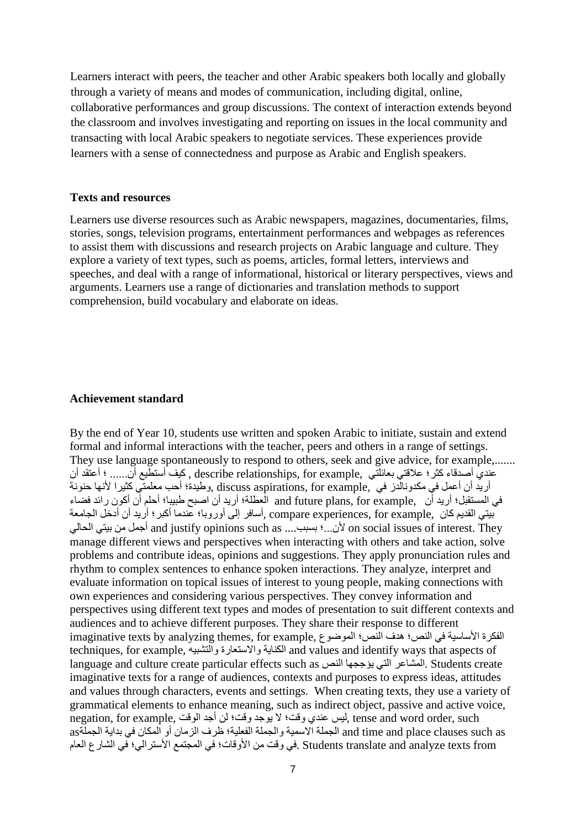Learners interact with peers, the teacher and other Arabic speakers both locally and globally through a variety of means and modes of communication, including digital, online, collaborative performances and group discussions. The context of interaction extends beyond the classroom and involves investigating and reporting on issues in the local community and transacting with local Arabic speakers to negotiate services. These experiences provide learners with a sense of connectedness and purpose as Arabic and English speakers.

#### **Texts and resources**

Learners use diverse resources such as Arabic newspapers, magazines, documentaries, films, stories, songs, television programs, entertainment performances and webpages as references to assist them with discussions and research projects on Arabic language and culture. They explore a variety of text types, such as poems, articles, formal letters, interviews and speeches, and deal with a range of informational, historical or literary perspectives, views and arguments. Learners use a range of dictionaries and translation methods to support comprehension, build vocabulary and elaborate on ideas.

#### **Achievement standard**

By the end of Year 10, students use written and spoken Arabic to initiate, sustain and extend formal and informal interactions with the teacher, peers and others in a range of settings. They use language spontaneously to respond to others, seek and give advice, for example,....... عندي أصدقاء كثر؛ علاقتي بعائلتي ,example for ,relationships describe , كیف أستطیع أن...... ؛ أعتقد أن أريد أن أعمل في مكدونالدز في ,discuss aspirations, for example ,وطيدة؛ أحب معلمتي كثيرا لأنها حنونة في المستقبل؛ أرید أن ,example for ,plans future and العطلة؛ أرید أن اصبح طبیبا؛ أحلم أن أكون رائد فضاء بیتي القدیم كان ,example for ,experiences compare ,أسافر إلى أوروبا؛ عندما أكبر؛ أرید أن أدخل الجامعة الحالي بیتي من أجمل and justify opinions such as ....بسبب ؛...لأن on social issues of interest. They manage different views and perspectives when interacting with others and take action, solve problems and contribute ideas, opinions and suggestions. They apply pronunciation rules and rhythm to complex sentences to enhance spoken interactions. They analyze, interpret and evaluate information on topical issues of interest to young people, making connections with own experiences and considering various perspectives. They convey information and perspectives using different text types and modes of presentation to suit different contexts and audiences and to achieve different purposes. They share their response to different الفكرة الأساسية في النص؛ هدف النص؛ الموضوع ,imaginative texts by analyzing themes, for example techniques, for example, والتشبیھ والاستعارة الكنایة and values and identify ways that aspects of language and culture create particular effects such as النص یؤججھا التي المشاعر. Students create imaginative texts for a range of audiences, contexts and purposes to express ideas, attitudes and values through characters, events and settings. When creating texts, they use a variety of grammatical elements to enhance meaning, such as indirect object, passive and active voice, negation, for example, لیس عندي وقت؛ لا یوجد وقت؛ لن أجد الوقت ,ense and word order, such as such clauses place and time and الجملة الاسمیة والجملة الفعلیة؛ ظرف الزمان أو المكان في بدایة الجملةas from texts analyze and translate Students .في وقت من الأوقات؛ في المجتمع الأسترالي؛ في الشارع العام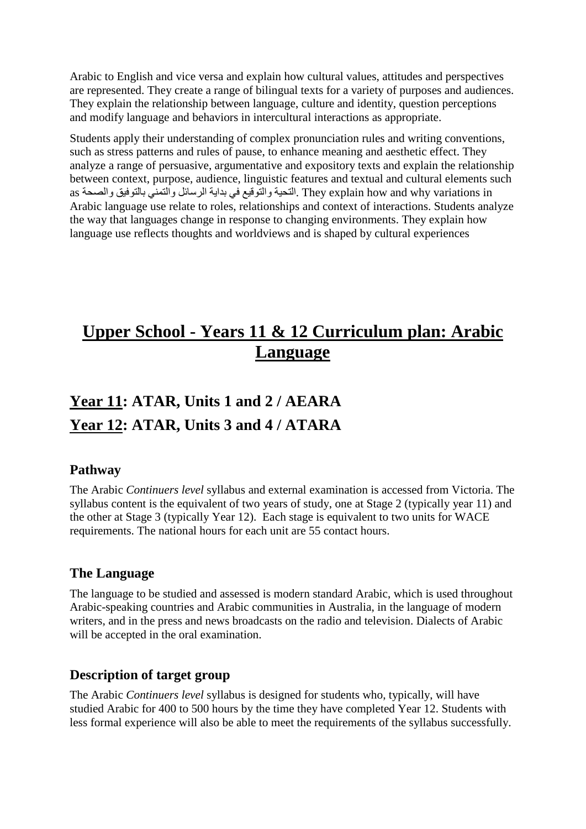Arabic to English and vice versa and explain how cultural values, attitudes and perspectives are represented. They create a range of bilingual texts for a variety of purposes and audiences. They explain the relationship between language, culture and identity, question perceptions and modify language and behaviors in intercultural interactions as appropriate.

Students apply their understanding of complex pronunciation rules and writing conventions, such as stress patterns and rules of pause, to enhance meaning and aesthetic effect. They analyze a range of persuasive, argumentative and expository texts and explain the relationship between context, purpose, audience, linguistic features and textual and cultural elements such in variations why and how explain They .التحیة والتوقیع في بدایة الرسائل والتمني بالتوفیق والصحة as Arabic language use relate to roles, relationships and context of interactions. Students analyze the way that languages change in response to changing environments. They explain how language use reflects thoughts and worldviews and is shaped by cultural experiences

# **Upper School - Years 11 & 12 Curriculum plan: Arabic Language**

# **Year 11: ATAR, Units 1 and 2 / AEARA Year 12: ATAR, Units 3 and 4 / ATARA**

## **Pathway**

The Arabic *Continuers level* syllabus and external examination is accessed from Victoria. The syllabus content is the equivalent of two years of study, one at Stage 2 (typically year 11) and the other at Stage 3 (typically Year 12). Each stage is equivalent to two units for WACE requirements. The national hours for each unit are 55 contact hours.

## **The Language**

The language to be studied and assessed is modern standard Arabic, which is used throughout Arabic-speaking countries and Arabic communities in Australia, in the language of modern writers, and in the press and news broadcasts on the radio and television. Dialects of Arabic will be accepted in the oral examination.

## **Description of target group**

The Arabic *Continuers level* syllabus is designed for students who, typically, will have studied Arabic for 400 to 500 hours by the time they have completed Year 12. Students with less formal experience will also be able to meet the requirements of the syllabus successfully.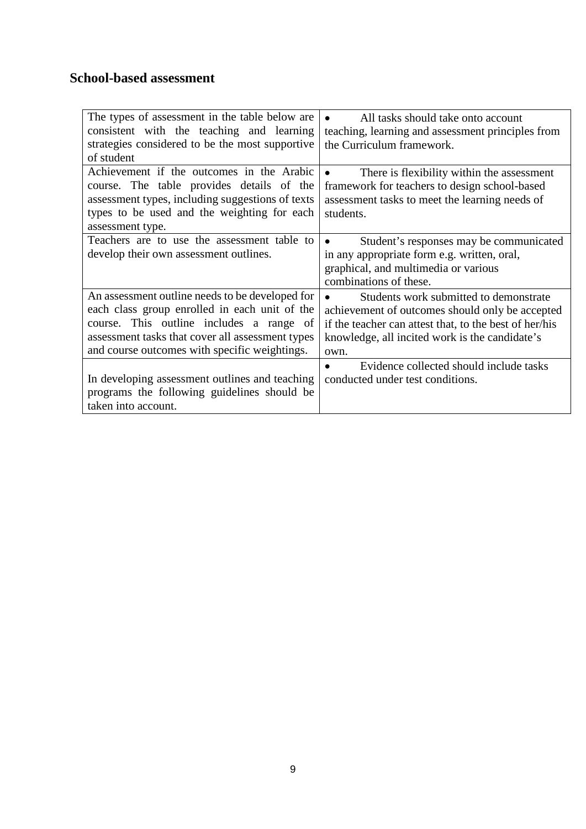# **School-based assessment**

| The types of assessment in the table below are<br>consistent with the teaching and learning<br>strategies considered to be the most supportive<br>of student                                                                                      | All tasks should take onto account<br>teaching, learning and assessment principles from<br>the Curriculum framework.                                                                                          |
|---------------------------------------------------------------------------------------------------------------------------------------------------------------------------------------------------------------------------------------------------|---------------------------------------------------------------------------------------------------------------------------------------------------------------------------------------------------------------|
| Achievement if the outcomes in the Arabic<br>course. The table provides details of the<br>assessment types, including suggestions of texts<br>types to be used and the weighting for each<br>assessment type.                                     | There is flexibility within the assessment<br>framework for teachers to design school-based<br>assessment tasks to meet the learning needs of<br>students.                                                    |
| Teachers are to use the assessment table to<br>develop their own assessment outlines.                                                                                                                                                             | Student's responses may be communicated<br>$\bullet$<br>in any appropriate form e.g. written, oral,<br>graphical, and multimedia or various<br>combinations of these.                                         |
| An assessment outline needs to be developed for<br>each class group enrolled in each unit of the<br>course. This outline includes a range of<br>assessment tasks that cover all assessment types<br>and course outcomes with specific weightings. | Students work submitted to demonstrate<br>achievement of outcomes should only be accepted<br>if the teacher can attest that, to the best of her/his<br>knowledge, all incited work is the candidate's<br>own. |
| In developing assessment outlines and teaching<br>programs the following guidelines should be<br>taken into account.                                                                                                                              | Evidence collected should include tasks<br>$\bullet$<br>conducted under test conditions.                                                                                                                      |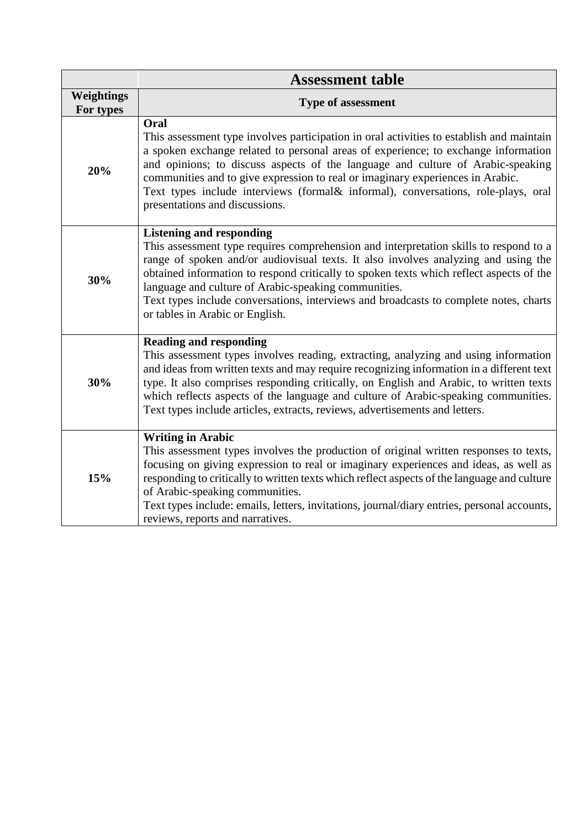|                         | <b>Assessment table</b>                                                                                                                                                                                                                                                                                                                                                                                                                                                                       |  |  |
|-------------------------|-----------------------------------------------------------------------------------------------------------------------------------------------------------------------------------------------------------------------------------------------------------------------------------------------------------------------------------------------------------------------------------------------------------------------------------------------------------------------------------------------|--|--|
| Weightings<br>For types | <b>Type of assessment</b>                                                                                                                                                                                                                                                                                                                                                                                                                                                                     |  |  |
| 20%                     | Oral<br>This assessment type involves participation in oral activities to establish and maintain<br>a spoken exchange related to personal areas of experience; to exchange information<br>and opinions; to discuss aspects of the language and culture of Arabic-speaking<br>communities and to give expression to real or imaginary experiences in Arabic.<br>Text types include interviews (formal & informal), conversations, role-plays, oral<br>presentations and discussions.           |  |  |
| 30%                     | <b>Listening and responding</b><br>This assessment type requires comprehension and interpretation skills to respond to a<br>range of spoken and/or audiovisual texts. It also involves analyzing and using the<br>obtained information to respond critically to spoken texts which reflect aspects of the<br>language and culture of Arabic-speaking communities.<br>Text types include conversations, interviews and broadcasts to complete notes, charts<br>or tables in Arabic or English. |  |  |
| 30%                     | <b>Reading and responding</b><br>This assessment types involves reading, extracting, analyzing and using information<br>and ideas from written texts and may require recognizing information in a different text<br>type. It also comprises responding critically, on English and Arabic, to written texts<br>which reflects aspects of the language and culture of Arabic-speaking communities.<br>Text types include articles, extracts, reviews, advertisements and letters.               |  |  |
| 15%                     | <b>Writing in Arabic</b><br>This assessment types involves the production of original written responses to texts,<br>focusing on giving expression to real or imaginary experiences and ideas, as well as<br>responding to critically to written texts which reflect aspects of the language and culture<br>of Arabic-speaking communities.<br>Text types include: emails, letters, invitations, journal/diary entries, personal accounts,<br>reviews, reports and narratives.                |  |  |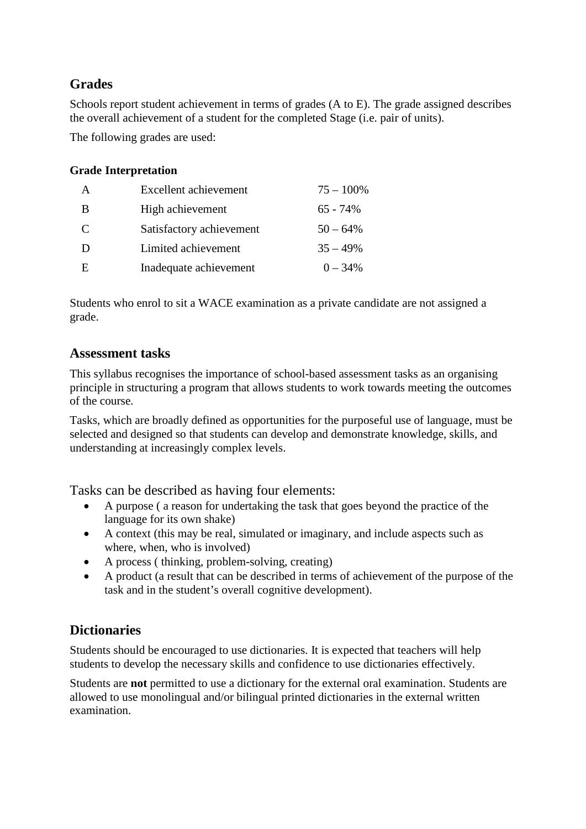# **Grades**

Schools report student achievement in terms of grades (A to E). The grade assigned describes the overall achievement of a student for the completed Stage (i.e. pair of units).

The following grades are used:

## **Grade Interpretation**

| $\mathsf{A}$  | Excellent achievement    | $75 - 100\%$ |
|---------------|--------------------------|--------------|
| B             | High achievement         | $65 - 74\%$  |
| $\mathcal{C}$ | Satisfactory achievement | $50 - 64\%$  |
| Ð             | Limited achievement      | $35 - 49%$   |
| E             | Inadequate achievement   | $0 - 34\%$   |

Students who enrol to sit a WACE examination as a private candidate are not assigned a grade.

## **Assessment tasks**

This syllabus recognises the importance of school-based assessment tasks as an organising principle in structuring a program that allows students to work towards meeting the outcomes of the course.

Tasks, which are broadly defined as opportunities for the purposeful use of language, must be selected and designed so that students can develop and demonstrate knowledge, skills, and understanding at increasingly complex levels.

Tasks can be described as having four elements:

- A purpose ( a reason for undertaking the task that goes beyond the practice of the language for its own shake)
- A context (this may be real, simulated or imaginary, and include aspects such as where, when, who is involved)
- A process (thinking, problem-solving, creating)
- A product (a result that can be described in terms of achievement of the purpose of the task and in the student's overall cognitive development).

# **Dictionaries**

Students should be encouraged to use dictionaries. It is expected that teachers will help students to develop the necessary skills and confidence to use dictionaries effectively.

Students are **not** permitted to use a dictionary for the external oral examination. Students are allowed to use monolingual and/or bilingual printed dictionaries in the external written examination.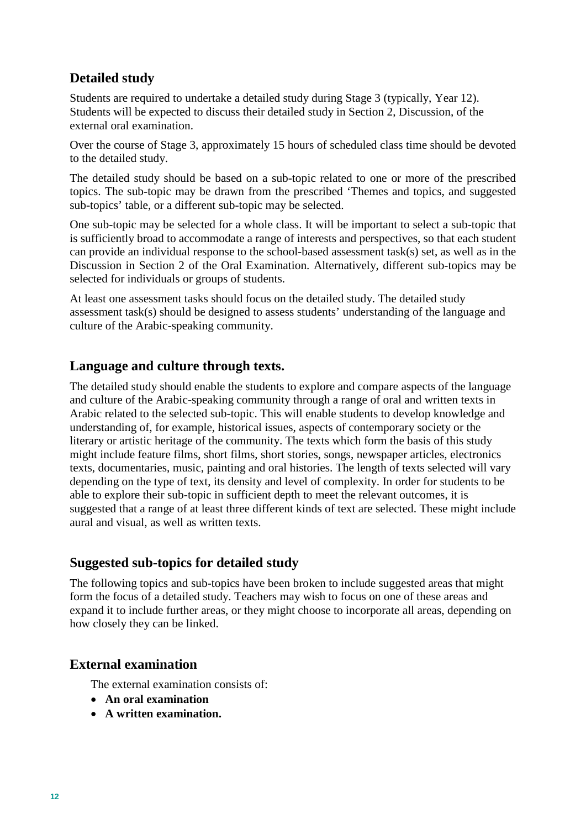## **Detailed study**

Students are required to undertake a detailed study during Stage 3 (typically, Year 12). Students will be expected to discuss their detailed study in Section 2, Discussion, of the external oral examination.

Over the course of Stage 3, approximately 15 hours of scheduled class time should be devoted to the detailed study.

The detailed study should be based on a sub-topic related to one or more of the prescribed topics. The sub-topic may be drawn from the prescribed 'Themes and topics, and suggested sub-topics' table, or a different sub-topic may be selected.

One sub-topic may be selected for a whole class. It will be important to select a sub-topic that is sufficiently broad to accommodate a range of interests and perspectives, so that each student can provide an individual response to the school-based assessment task(s) set, as well as in the Discussion in Section 2 of the Oral Examination. Alternatively, different sub-topics may be selected for individuals or groups of students.

At least one assessment tasks should focus on the detailed study. The detailed study assessment task(s) should be designed to assess students' understanding of the language and culture of the Arabic-speaking community.

## **Language and culture through texts.**

The detailed study should enable the students to explore and compare aspects of the language and culture of the Arabic-speaking community through a range of oral and written texts in Arabic related to the selected sub-topic. This will enable students to develop knowledge and understanding of, for example, historical issues, aspects of contemporary society or the literary or artistic heritage of the community. The texts which form the basis of this study might include feature films, short films, short stories, songs, newspaper articles, electronics texts, documentaries, music, painting and oral histories. The length of texts selected will vary depending on the type of text, its density and level of complexity. In order for students to be able to explore their sub-topic in sufficient depth to meet the relevant outcomes, it is suggested that a range of at least three different kinds of text are selected. These might include aural and visual, as well as written texts.

## **Suggested sub-topics for detailed study**

The following topics and sub-topics have been broken to include suggested areas that might form the focus of a detailed study. Teachers may wish to focus on one of these areas and expand it to include further areas, or they might choose to incorporate all areas, depending on how closely they can be linked.

## **External examination**

The external examination consists of:

- **An oral examination**
- **A written examination.**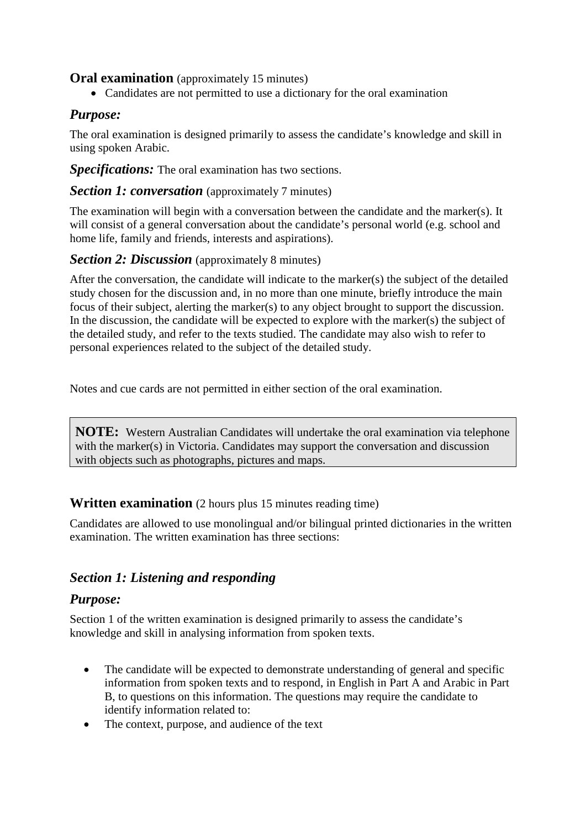## **Oral examination** (approximately 15 minutes)

• Candidates are not permitted to use a dictionary for the oral examination

## *Purpose:*

The oral examination is designed primarily to assess the candidate's knowledge and skill in using spoken Arabic.

*Specifications:* The oral examination has two sections.

*Section 1: conversation* (approximately 7 minutes)

The examination will begin with a conversation between the candidate and the marker(s). It will consist of a general conversation about the candidate's personal world (e.g. school and home life, family and friends, interests and aspirations).

## *Section 2: Discussion* (approximately 8 minutes)

After the conversation, the candidate will indicate to the marker(s) the subject of the detailed study chosen for the discussion and, in no more than one minute, briefly introduce the main focus of their subject, alerting the marker(s) to any object brought to support the discussion. In the discussion, the candidate will be expected to explore with the marker(s) the subject of the detailed study, and refer to the texts studied. The candidate may also wish to refer to personal experiences related to the subject of the detailed study.

Notes and cue cards are not permitted in either section of the oral examination.

**NOTE:** Western Australian Candidates will undertake the oral examination via telephone with the marker(s) in Victoria. Candidates may support the conversation and discussion with objects such as photographs, pictures and maps.

## **Written examination** (2 hours plus 15 minutes reading time)

Candidates are allowed to use monolingual and/or bilingual printed dictionaries in the written examination. The written examination has three sections:

# *Section 1: Listening and responding*

## *Purpose:*

Section 1 of the written examination is designed primarily to assess the candidate's knowledge and skill in analysing information from spoken texts.

- The candidate will be expected to demonstrate understanding of general and specific information from spoken texts and to respond, in English in Part A and Arabic in Part B, to questions on this information. The questions may require the candidate to identify information related to:
- The context, purpose, and audience of the text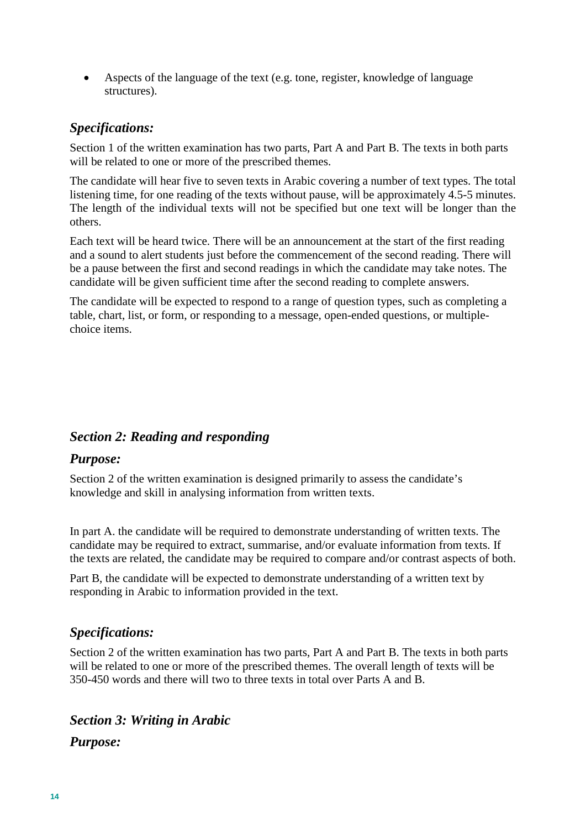• Aspects of the language of the text (e.g. tone, register, knowledge of language structures).

## *Specifications:*

Section 1 of the written examination has two parts, Part A and Part B. The texts in both parts will be related to one or more of the prescribed themes.

The candidate will hear five to seven texts in Arabic covering a number of text types. The total listening time, for one reading of the texts without pause, will be approximately 4.5-5 minutes. The length of the individual texts will not be specified but one text will be longer than the others.

Each text will be heard twice. There will be an announcement at the start of the first reading and a sound to alert students just before the commencement of the second reading. There will be a pause between the first and second readings in which the candidate may take notes. The candidate will be given sufficient time after the second reading to complete answers.

The candidate will be expected to respond to a range of question types, such as completing a table, chart, list, or form, or responding to a message, open-ended questions, or multiplechoice items.

## *Section 2: Reading and responding*

## *Purpose:*

Section 2 of the written examination is designed primarily to assess the candidate's knowledge and skill in analysing information from written texts.

In part A. the candidate will be required to demonstrate understanding of written texts. The candidate may be required to extract, summarise, and/or evaluate information from texts. If the texts are related, the candidate may be required to compare and/or contrast aspects of both.

Part B, the candidate will be expected to demonstrate understanding of a written text by responding in Arabic to information provided in the text.

## *Specifications:*

Section 2 of the written examination has two parts, Part A and Part B. The texts in both parts will be related to one or more of the prescribed themes. The overall length of texts will be 350-450 words and there will two to three texts in total over Parts A and B.

## *Section 3: Writing in Arabic*

## *Purpose:*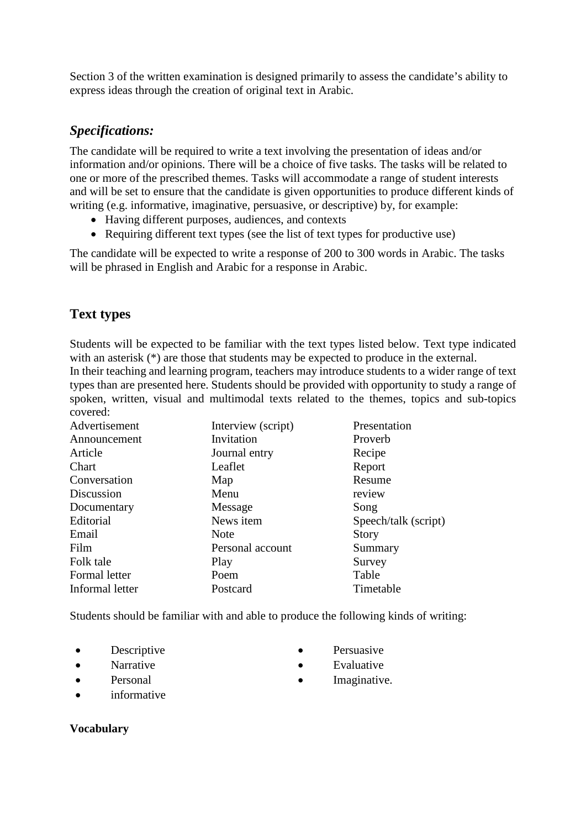Section 3 of the written examination is designed primarily to assess the candidate's ability to express ideas through the creation of original text in Arabic.

## *Specifications:*

The candidate will be required to write a text involving the presentation of ideas and/or information and/or opinions. There will be a choice of five tasks. The tasks will be related to one or more of the prescribed themes. Tasks will accommodate a range of student interests and will be set to ensure that the candidate is given opportunities to produce different kinds of writing (e.g. informative, imaginative, persuasive, or descriptive) by, for example:

- Having different purposes, audiences, and contexts
- Requiring different text types (see the list of text types for productive use)

The candidate will be expected to write a response of 200 to 300 words in Arabic. The tasks will be phrased in English and Arabic for a response in Arabic.

# **Text types**

Students will be expected to be familiar with the text types listed below. Text type indicated with an asterisk (\*) are those that students may be expected to produce in the external.

In their teaching and learning program, teachers may introduce students to a wider range of text types than are presented here. Students should be provided with opportunity to study a range of spoken, written, visual and multimodal texts related to the themes, topics and sub-topics covered:

| Advertisement   | Interview (script) | Presentation         |
|-----------------|--------------------|----------------------|
| Announcement    | Invitation         | Proverb              |
| Article         | Journal entry      | Recipe               |
| Chart           | Leaflet            | Report               |
| Conversation    | Map                | Resume               |
| Discussion      | Menu               | review               |
| Documentary     | Message            | Song                 |
| Editorial       | News item          | Speech/talk (script) |
| Email           | <b>Note</b>        | <b>Story</b>         |
| Film            | Personal account   | Summary              |
| Folk tale       | Play               | Survey               |
| Formal letter   | Poem               | Table                |
| Informal letter | Postcard           | Timetable            |

Students should be familiar with and able to produce the following kinds of writing:

- Descriptive Persuasive
- 
- 
- 
- Narrative Evaluative
- Personal Imaginative.
- *informative*

## **Vocabulary**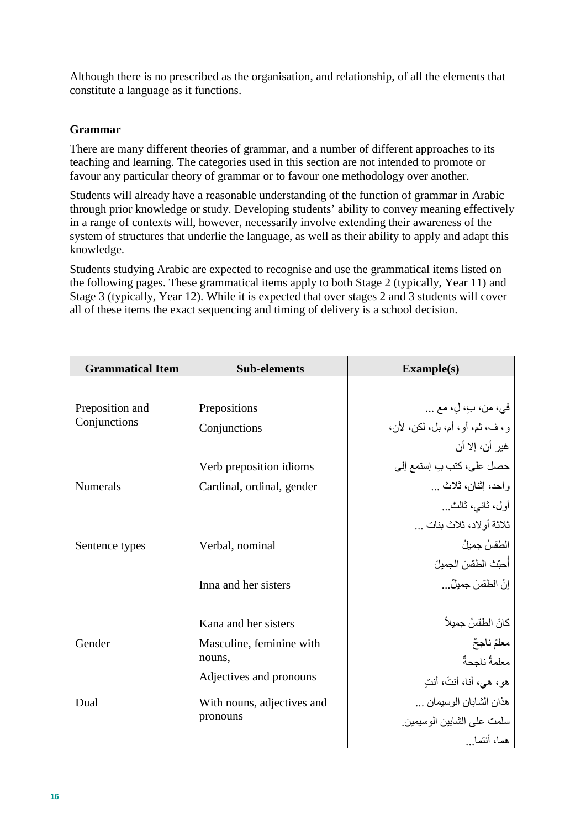Although there is no prescribed as the organisation, and relationship, of all the elements that constitute a language as it functions.

## **Grammar**

There are many different theories of grammar, and a number of different approaches to its teaching and learning. The categories used in this section are not intended to promote or favour any particular theory of grammar or to favour one methodology over another.

Students will already have a reasonable understanding of the function of grammar in Arabic through prior knowledge or study. Developing students' ability to convey meaning effectively in a range of contexts will, however, necessarily involve extending their awareness of the system of structures that underlie the language, as well as their ability to apply and adapt this knowledge.

Students studying Arabic are expected to recognise and use the grammatical items listed on the following pages. These grammatical items apply to both Stage 2 (typically, Year 11) and Stage 3 (typically, Year 12). While it is expected that over stages 2 and 3 students will cover all of these items the exact sequencing and timing of delivery is a school decision.

| <b>Grammatical Item</b> | <b>Sub-elements</b>        | Example(s)                      |
|-------------------------|----------------------------|---------------------------------|
|                         |                            |                                 |
| Preposition and         | Prepositions               | في، من، بِ، لِ، مع              |
| Conjunctions            | Conjunctions               | و، ف، ثم، أو، أم، بل، لكن، لأن، |
|                         |                            | غير أن، إلا أن                  |
|                         | Verb preposition idioms    | حصل على، كتب بـِ، إستمع إلى     |
| <b>Numerals</b>         | Cardinal, ordinal, gender  | واحد، إثنان، ثلاث               |
|                         |                            | أول، ثاني، ثالث…                |
|                         |                            | ثلاثة أولاد، ثلاث بنات          |
| Sentence types          | Verbal, nominal            | الطقسُ جميلُ                    |
|                         |                            | أُحبّتْ الطقسَ الجميلَ          |
|                         | Inna and her sisters       | إنَّ الطقسَ جميلٌ               |
|                         |                            |                                 |
|                         | Kana and her sisters       | كانَ الطقسُ جميلاً              |
| Gender                  | Masculine, feminine with   | معلَّمٌ ناجحٌ                   |
|                         | nouns,                     | معلمةٌ ناجحةٌ                   |
|                         | Adjectives and pronouns    | هو، هي، أنا، أنتَ، أنتِ         |
| Dual                    | With nouns, adjectives and | هذان الشابان الوسيمان           |
|                         | pronouns                   | سلمت على الشابين الوسيمين       |
|                         |                            | هما، أنتما                      |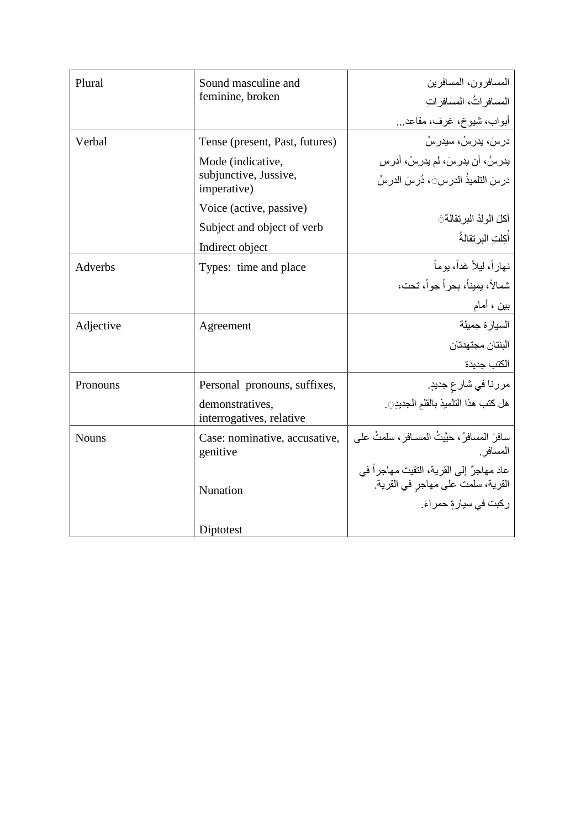| Plural       | Sound masculine and                         | المسافر ون، المسافر بن                                                        |
|--------------|---------------------------------------------|-------------------------------------------------------------------------------|
|              | feminine, broken                            | المسافر اتُ، المسافر ات                                                       |
|              |                                             | أبواب، شيوخ، غرف، مقاعد…                                                      |
| Verbal       | Tense (present, Past, futures)              | ادر اسَ، بدر اسُ، سبدر اسُ                                                    |
|              | Mode (indicative,                           | يدرسُ، أن يدرسَ، لم يدرسْ، أدرس                                               |
|              | subjunctive, Jussive,<br>imperative)        | درسَ التلميذُ الدرسَىَ، دُرسَ الدرسُ                                          |
|              | Voice (active, passive)                     |                                                                               |
|              | Subject and object of verb                  | أكلَ الولدُ البر تقالةَ َ                                                     |
|              | Indirect object                             | أكلت البر تقالةُ                                                              |
| Adverbs      | Types: time and place                       | نهار اً، لبلاً غداً، بو ماً                                                   |
|              |                                             | شمالاً، يميناً، بحر اً جو اً، تحت،                                            |
|              |                                             | بين ، أمام                                                                    |
| Adjective    | Agreement                                   | السيار ة جميلة                                                                |
|              |                                             | البنتان مجتهدتان                                                              |
|              |                                             | الكتب جديدة                                                                   |
| Pronouns     | Personal pronouns, suffixes,                | مررنا في شارع جديدٍ.                                                          |
|              | demonstratives,<br>interrogatives, relative | هل كتب هذا التلميذ بالقلم الجديدر.                                            |
| <b>Nouns</b> | Case: nominative, accusative,<br>genitive   | سافرَ المسافرُ ، حيَّيتُ المسـافرَ ، سلمتُ على<br>المسافر ِ                   |
|              | Nunation                                    | عاد مهاجرٌ إلى القرية، النقيت مهاجراً في<br>القرية، سلمت على مهاجر في القرية. |
|              |                                             | ركبت في سيارةٍ حمراءَ.                                                        |
|              | Diptotest                                   |                                                                               |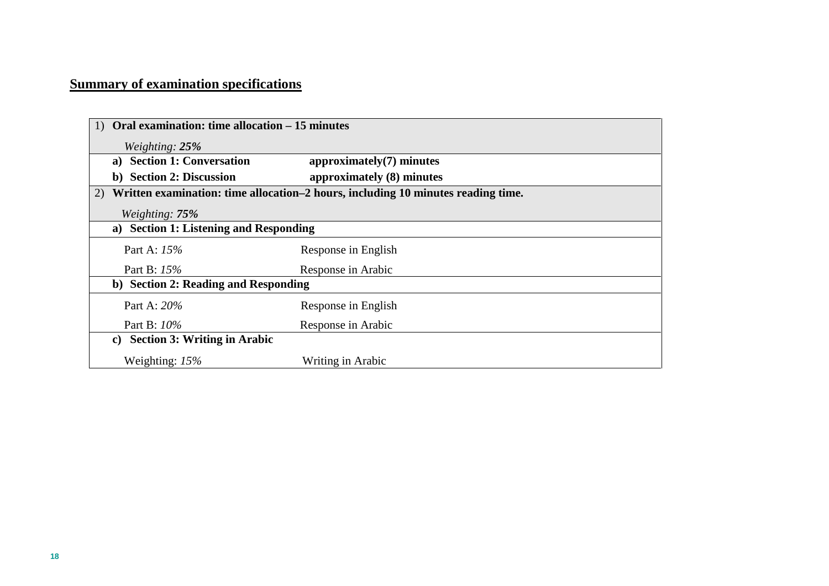# **Summary of examination specifications**

|                                                                                        | Oral examination: time allocation – 15 minutes |  |
|----------------------------------------------------------------------------------------|------------------------------------------------|--|
| Weighting: $25%$                                                                       |                                                |  |
| <b>Section 1: Conversation</b><br>a)                                                   | $approximately(7)$ minutes                     |  |
| b) Section 2: Discussion                                                               | approximately (8) minutes                      |  |
| Written examination: time allocation-2 hours, including 10 minutes reading time.<br>2) |                                                |  |
| Weighting: 75%                                                                         |                                                |  |
| <b>Section 1: Listening and Responding</b><br>a)                                       |                                                |  |
| Part A: 15%                                                                            | Response in English                            |  |
| Part B: 15%                                                                            | Response in Arabic                             |  |
| b) Section 2: Reading and Responding                                                   |                                                |  |
| Part A: 20%                                                                            | Response in English                            |  |
| Part B: 10%                                                                            | Response in Arabic                             |  |
| <b>Section 3: Writing in Arabic</b><br>$\mathbf{c}$                                    |                                                |  |
| Weighting: $15%$                                                                       | Writing in Arabic                              |  |